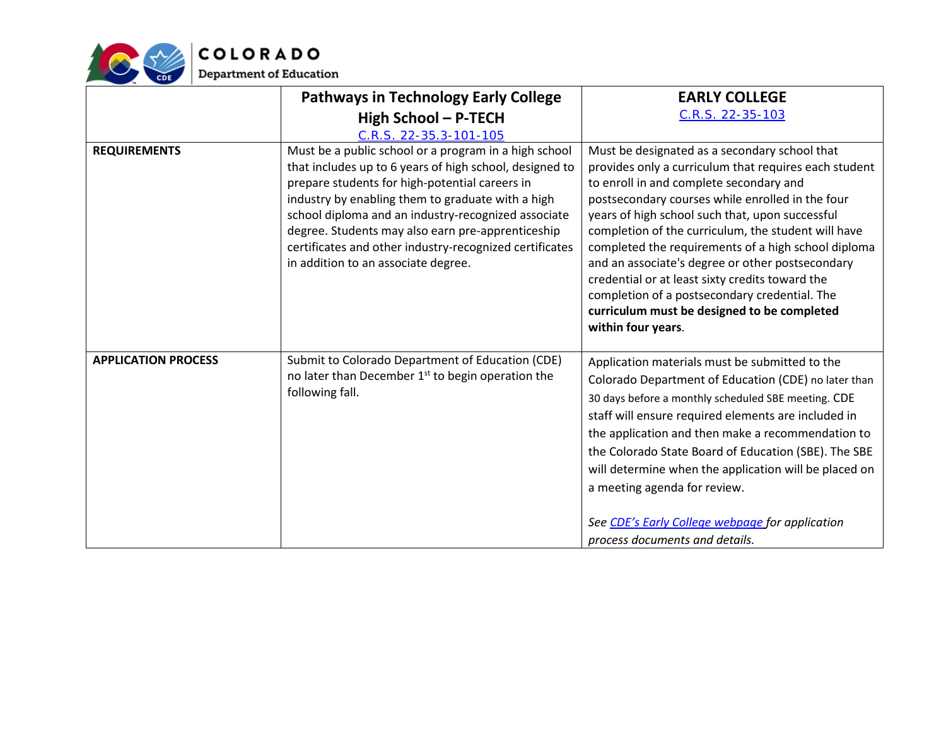

|                            | <b>Pathways in Technology Early College</b>                                                                                                                                                                                                                                                                                                                                                                                           | <b>EARLY COLLEGE</b>                                                                                                                                                                                                                                                                                                                                                                                                                                                                                                                                                                                |
|----------------------------|---------------------------------------------------------------------------------------------------------------------------------------------------------------------------------------------------------------------------------------------------------------------------------------------------------------------------------------------------------------------------------------------------------------------------------------|-----------------------------------------------------------------------------------------------------------------------------------------------------------------------------------------------------------------------------------------------------------------------------------------------------------------------------------------------------------------------------------------------------------------------------------------------------------------------------------------------------------------------------------------------------------------------------------------------------|
|                            | High School - P-TECH                                                                                                                                                                                                                                                                                                                                                                                                                  | C.R.S. 22-35-103                                                                                                                                                                                                                                                                                                                                                                                                                                                                                                                                                                                    |
|                            | C.R.S. 22-35.3-101-105                                                                                                                                                                                                                                                                                                                                                                                                                |                                                                                                                                                                                                                                                                                                                                                                                                                                                                                                                                                                                                     |
| <b>REQUIREMENTS</b>        | Must be a public school or a program in a high school<br>that includes up to 6 years of high school, designed to<br>prepare students for high-potential careers in<br>industry by enabling them to graduate with a high<br>school diploma and an industry-recognized associate<br>degree. Students may also earn pre-apprenticeship<br>certificates and other industry-recognized certificates<br>in addition to an associate degree. | Must be designated as a secondary school that<br>provides only a curriculum that requires each student<br>to enroll in and complete secondary and<br>postsecondary courses while enrolled in the four<br>years of high school such that, upon successful<br>completion of the curriculum, the student will have<br>completed the requirements of a high school diploma<br>and an associate's degree or other postsecondary<br>credential or at least sixty credits toward the<br>completion of a postsecondary credential. The<br>curriculum must be designed to be completed<br>within four years. |
| <b>APPLICATION PROCESS</b> | Submit to Colorado Department of Education (CDE)<br>no later than December 1 <sup>st</sup> to begin operation the<br>following fall.                                                                                                                                                                                                                                                                                                  | Application materials must be submitted to the<br>Colorado Department of Education (CDE) no later than<br>30 days before a monthly scheduled SBE meeting. CDE<br>staff will ensure required elements are included in<br>the application and then make a recommendation to<br>the Colorado State Board of Education (SBE). The SBE<br>will determine when the application will be placed on<br>a meeting agenda for review.<br>See CDE's Early College webpage for application<br>process documents and details.                                                                                     |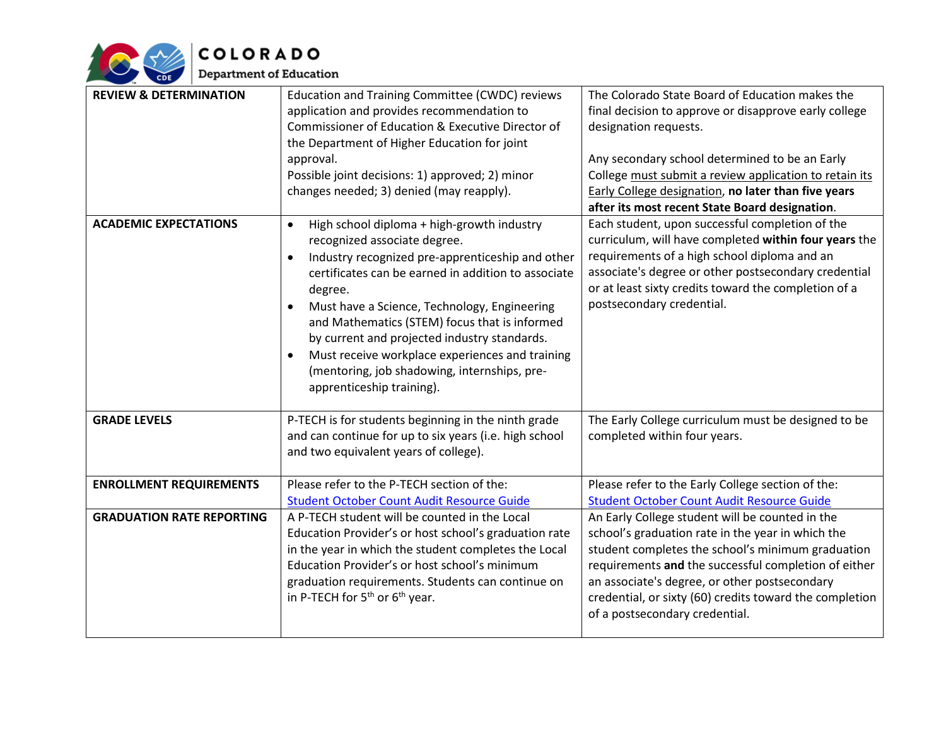

| <b>REVIEW &amp; DETERMINATION</b> | Education and Training Committee (CWDC) reviews<br>application and provides recommendation to<br>Commissioner of Education & Executive Director of<br>the Department of Higher Education for joint<br>approval.<br>Possible joint decisions: 1) approved; 2) minor<br>changes needed; 3) denied (may reapply).                                                                                                                                                                                 | The Colorado State Board of Education makes the<br>final decision to approve or disapprove early college<br>designation requests.<br>Any secondary school determined to be an Early<br>College must submit a review application to retain its<br>Early College designation, no later than five years<br>after its most recent State Board designation.          |
|-----------------------------------|------------------------------------------------------------------------------------------------------------------------------------------------------------------------------------------------------------------------------------------------------------------------------------------------------------------------------------------------------------------------------------------------------------------------------------------------------------------------------------------------|-----------------------------------------------------------------------------------------------------------------------------------------------------------------------------------------------------------------------------------------------------------------------------------------------------------------------------------------------------------------|
| <b>ACADEMIC EXPECTATIONS</b>      | High school diploma + high-growth industry<br>$\bullet$<br>recognized associate degree.<br>Industry recognized pre-apprenticeship and other<br>certificates can be earned in addition to associate<br>degree.<br>Must have a Science, Technology, Engineering<br>and Mathematics (STEM) focus that is informed<br>by current and projected industry standards.<br>Must receive workplace experiences and training<br>(mentoring, job shadowing, internships, pre-<br>apprenticeship training). | Each student, upon successful completion of the<br>curriculum, will have completed within four years the<br>requirements of a high school diploma and an<br>associate's degree or other postsecondary credential<br>or at least sixty credits toward the completion of a<br>postsecondary credential.                                                           |
| <b>GRADE LEVELS</b>               | P-TECH is for students beginning in the ninth grade<br>and can continue for up to six years (i.e. high school<br>and two equivalent years of college).                                                                                                                                                                                                                                                                                                                                         | The Early College curriculum must be designed to be<br>completed within four years.                                                                                                                                                                                                                                                                             |
| <b>ENROLLMENT REQUIREMENTS</b>    | Please refer to the P-TECH section of the:<br><b>Student October Count Audit Resource Guide</b>                                                                                                                                                                                                                                                                                                                                                                                                | Please refer to the Early College section of the:<br><b>Student October Count Audit Resource Guide</b>                                                                                                                                                                                                                                                          |
| <b>GRADUATION RATE REPORTING</b>  | A P-TECH student will be counted in the Local<br>Education Provider's or host school's graduation rate<br>in the year in which the student completes the Local<br>Education Provider's or host school's minimum<br>graduation requirements. Students can continue on<br>in P-TECH for $5^{th}$ or $6^{th}$ year.                                                                                                                                                                               | An Early College student will be counted in the<br>school's graduation rate in the year in which the<br>student completes the school's minimum graduation<br>requirements and the successful completion of either<br>an associate's degree, or other postsecondary<br>credential, or sixty (60) credits toward the completion<br>of a postsecondary credential. |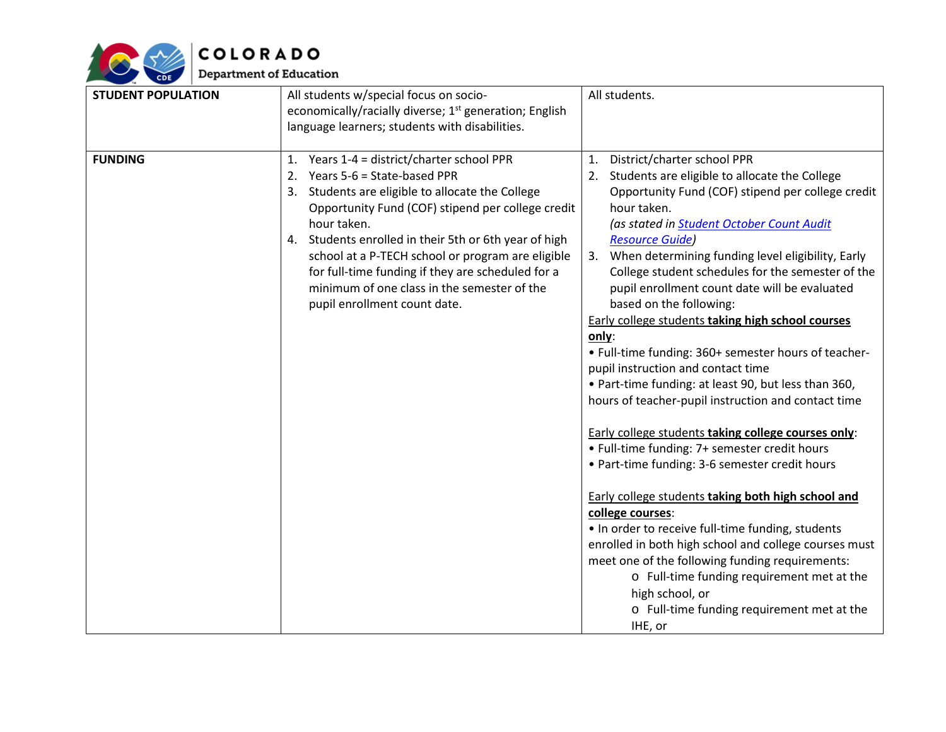

| <b>STUDENT POPULATION</b> | All students w/special focus on socio-                             | All students.                                         |
|---------------------------|--------------------------------------------------------------------|-------------------------------------------------------|
|                           | economically/racially diverse; 1 <sup>st</sup> generation; English |                                                       |
|                           | language learners; students with disabilities.                     |                                                       |
| <b>FUNDING</b>            | 1. Years 1-4 = district/charter school PPR                         | District/charter school PPR<br>1.                     |
|                           | 2. Years 5-6 = State-based PPR                                     | 2. Students are eligible to allocate the College      |
|                           | 3. Students are eligible to allocate the College                   | Opportunity Fund (COF) stipend per college credit     |
|                           | Opportunity Fund (COF) stipend per college credit                  | hour taken.                                           |
|                           | hour taken.                                                        | (as stated in Student October Count Audit             |
|                           | 4. Students enrolled in their 5th or 6th year of high              | <b>Resource Guide)</b>                                |
|                           | school at a P-TECH school or program are eligible                  | 3. When determining funding level eligibility, Early  |
|                           | for full-time funding if they are scheduled for a                  | College student schedules for the semester of the     |
|                           | minimum of one class in the semester of the                        | pupil enrollment count date will be evaluated         |
|                           | pupil enrollment count date.                                       | based on the following:                               |
|                           |                                                                    | Early college students taking high school courses     |
|                           |                                                                    | only:                                                 |
|                           |                                                                    | • Full-time funding: 360+ semester hours of teacher-  |
|                           |                                                                    | pupil instruction and contact time                    |
|                           |                                                                    | • Part-time funding: at least 90, but less than 360,  |
|                           |                                                                    | hours of teacher-pupil instruction and contact time   |
|                           |                                                                    | Early college students taking college courses only:   |
|                           |                                                                    | • Full-time funding: 7+ semester credit hours         |
|                           |                                                                    | • Part-time funding: 3-6 semester credit hours        |
|                           |                                                                    | Early college students taking both high school and    |
|                           |                                                                    | college courses:                                      |
|                           |                                                                    | . In order to receive full-time funding, students     |
|                           |                                                                    | enrolled in both high school and college courses must |
|                           |                                                                    | meet one of the following funding requirements:       |
|                           |                                                                    | o Full-time funding requirement met at the            |
|                           |                                                                    | high school, or                                       |
|                           |                                                                    | o Full-time funding requirement met at the            |
|                           |                                                                    | IHE, or                                               |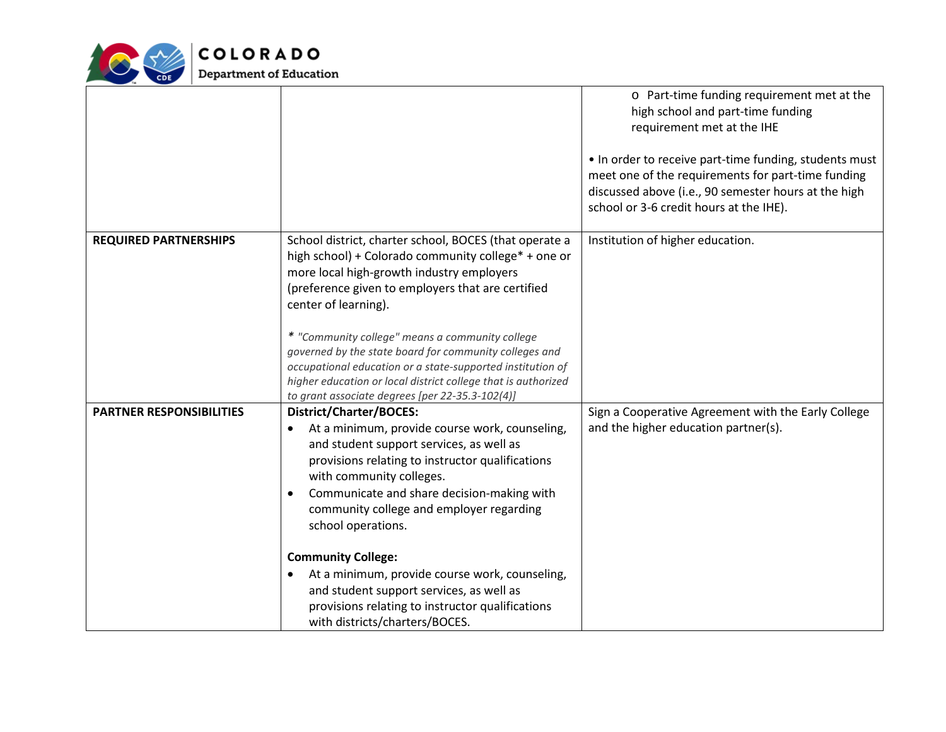

|                                 |                                                                                                                                                                                                                                                                                                                                                                                                                                                                                                                                               | o Part-time funding requirement met at the<br>high school and part-time funding<br>requirement met at the IHE<br>. In order to receive part-time funding, students must<br>meet one of the requirements for part-time funding<br>discussed above (i.e., 90 semester hours at the high<br>school or 3-6 credit hours at the IHE). |
|---------------------------------|-----------------------------------------------------------------------------------------------------------------------------------------------------------------------------------------------------------------------------------------------------------------------------------------------------------------------------------------------------------------------------------------------------------------------------------------------------------------------------------------------------------------------------------------------|----------------------------------------------------------------------------------------------------------------------------------------------------------------------------------------------------------------------------------------------------------------------------------------------------------------------------------|
| <b>REQUIRED PARTNERSHIPS</b>    | School district, charter school, BOCES (that operate a<br>high school) + Colorado community college* + one or<br>more local high-growth industry employers<br>(preference given to employers that are certified<br>center of learning).<br>* "Community college" means a community college<br>governed by the state board for community colleges and<br>occupational education or a state-supported institution of<br>higher education or local district college that is authorized<br>to grant associate degrees [per 22-35.3-102(4)]        | Institution of higher education.                                                                                                                                                                                                                                                                                                 |
| <b>PARTNER RESPONSIBILITIES</b> | <b>District/Charter/BOCES:</b><br>At a minimum, provide course work, counseling,<br>and student support services, as well as<br>provisions relating to instructor qualifications<br>with community colleges.<br>Communicate and share decision-making with<br>community college and employer regarding<br>school operations.<br><b>Community College:</b><br>At a minimum, provide course work, counseling,<br>and student support services, as well as<br>provisions relating to instructor qualifications<br>with districts/charters/BOCES. | Sign a Cooperative Agreement with the Early College<br>and the higher education partner(s).                                                                                                                                                                                                                                      |